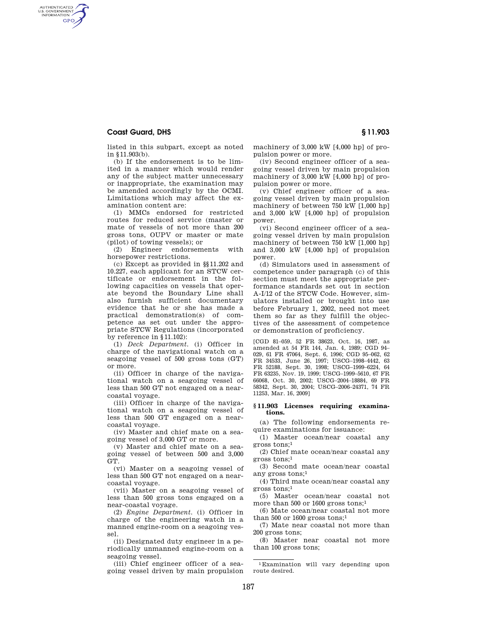## **Coast Guard, DHS § 11.903**

AUTHENTICATED<br>U.S. GOVERNMENT<br>INFORMATION **GPO** 

listed in this subpart, except as noted in §11.903(b).

(b) If the endorsement is to be limited in a manner which would render any of the subject matter unnecessary or inappropriate, the examination may be amended accordingly by the OCMI. Limitations which may affect the examination content are:

(1) MMCs endorsed for restricted routes for reduced service (master or mate of vessels of not more than 200 gross tons, OUPV or master or mate (pilot) of towing vessels); or

(2) Engineer endorsements with horsepower restrictions.

(c) Except as provided in §§11.202 and 10.227, each applicant for an STCW certificate or endorsement in the following capacities on vessels that operate beyond the Boundary Line shall also furnish sufficient documentary evidence that he or she has made a practical demonstration(s) of competence as set out under the appropriate STCW Regulations (incorporated by reference in §11.102):

(1) *Deck Department.* (i) Officer in charge of the navigational watch on a seagoing vessel of 500 gross tons (GT) or more.

(ii) Officer in charge of the navigational watch on a seagoing vessel of less than 500 GT not engaged on a nearcoastal voyage.

(iii) Officer in charge of the navigational watch on a seagoing vessel of less than 500 GT engaged on a nearcoastal voyage.

(iv) Master and chief mate on a seagoing vessel of 3,000 GT or more.

(v) Master and chief mate on a seagoing vessel of between 500 and 3,000 GT.

(vi) Master on a seagoing vessel of less than 500 GT not engaged on a nearcoastal voyage.

(vii) Master on a seagoing vessel of less than 500 gross tons engaged on a near-coastal voyage.

(2) *Engine Department.* (i) Officer in charge of the engineering watch in a manned engine-room on a seagoing vessel.

(ii) Designated duty engineer in a periodically unmanned engine-room on a seagoing vessel.

(iii) Chief engineer officer of a seagoing vessel driven by main propulsion machinery of 3,000 kW [4,000 hp] of propulsion power or more.

(iv) Second engineer officer of a seagoing vessel driven by main propulsion machinery of 3,000 kW [4,000 hp] of propulsion power or more.

(v) Chief engineer officer of a seagoing vessel driven by main propulsion machinery of between 750 kW [1,000 hp] and 3,000 kW [4,000 hp] of propulsion power.

(vi) Second engineer officer of a seagoing vessel driven by main propulsion machinery of between 750 kW [1,000 hp] and 3,000 kW [4,000 hp] of propulsion power.

(d) Simulators used in assessment of competence under paragraph (c) of this section must meet the appropriate performance standards set out in section A-I/12 of the STCW Code. However, simulators installed or brought into use before February 1, 2002, need not meet them so far as they fulfill the objectives of the assessment of competence or demonstration of proficiency.

[CGD 81–059, 52 FR 38623, Oct. 16, 1987, as amended at 54 FR 144, Jan. 4, 1989; CGD 94– 029, 61 FR 47064, Sept. 6, 1996; CGD 95–062, 62 FR 34533, June 26, 1997; USCG–1998–4442, 63 FR 52188, Sept. 30, 1998; USCG–1999–6224, 64 FR 63235, Nov. 19, 1999; USCG–1999–5610, 67 FR 66068, Oct. 30, 2002; USCG–2004–18884, 69 FR 58342, Sept. 30, 2004; USCG–2006–24371, 74 FR 11253, Mar. 16, 2009]

### **§ 11.903 Licenses requiring examinations.**

(a) The following endorsements require examinations for issuance:

(1) Master ocean/near coastal any gross tons;1

(2) Chief mate ocean/near coastal any gross tons;1

(3) Second mate ocean/near coastal any gross tons;1

(4) Third mate ocean/near coastal any gross tons;1

(5) Master ocean/near coastal not more than 500 or 1600 gross tons;<sup>1</sup>

(6) Mate ocean/near coastal not more than 500 or 1600 gross tons;<sup>1</sup>

(7) Mate near coastal not more than 200 gross tons;

(8) Master near coastal not more than 100 gross tons;

1Examination will vary depending upon route desired.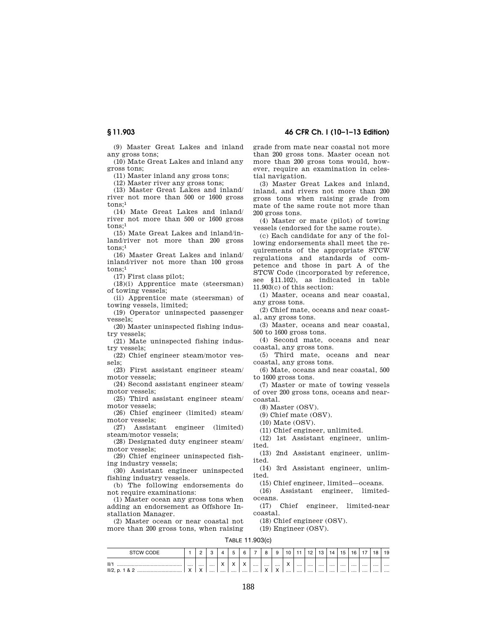**§ 11.903 46 CFR Ch. I (10–1–13 Edition)** 

(9) Master Great Lakes and inland any gross tons;

(10) Mate Great Lakes and inland any gross tons;

(11) Master inland any gross tons;

(12) Master river any gross tons;

(13) Master Great Lakes and inland/ river not more than 500 or 1600 gross tons:1

(14) Mate Great Lakes and inland/ river not more than 500 or 1600 gross tons;1

(15) Mate Great Lakes and inland/inland/river not more than 200 gross tons;1

(16) Master Great Lakes and inland/ inland/river not more than 100 gross tons:1

(17) First class pilot;

(18)(i) Apprentice mate (steersman) of towing vessels;

(ii) Apprentice mate (steersman) of towing vessels, limited;

(19) Operator uninspected passenger vessels;

(20) Master uninspected fishing industry vessels;

(21) Mate uninspected fishing industry vessels;

(22) Chief engineer steam/motor vessels;

(23) First assistant engineer steam/ motor vessels;

(24) Second assistant engineer steam/ motor vessels;

(25) Third assistant engineer steam/ motor vessels;

(26) Chief engineer (limited) steam/ motor vessels;

(27) Assistant engineer (limited) steam/motor vessels;

(28) Designated duty engineer steam/ motor vessels;

(29) Chief engineer uninspected fishing industry vessels;

(30) Assistant engineer uninspected fishing industry vessels.

(b) The following endorsements do not require examinations:

(1) Master ocean any gross tons when adding an endorsement as Offshore Installation Manager.

(2) Master ocean or near coastal not more than 200 gross tons, when raising grade from mate near coastal not more than 200 gross tons. Master ocean not more than 200 gross tons would, however, require an examination in celestial navigation.

(3) Master Great Lakes and inland, inland, and rivers not more than 200 gross tons when raising grade from mate of the same route not more than 200 gross tons.

(4) Master or mate (pilot) of towing vessels (endorsed for the same route).

(c) Each candidate for any of the following endorsements shall meet the requirements of the appropriate STCW regulations and standards of competence and those in part A of the STCW Code (incorporated by reference, see §11.102), as indicated in table 11.903(c) of this section:

(1) Master, oceans and near coastal, any gross tons.

(2) Chief mate, oceans and near coastal, any gross tons.

(3) Master, oceans and near coastal, 500 to 1600 gross tons.

(4) Second mate, oceans and near coastal, any gross tons.

(5) Third mate, oceans and near coastal, any gross tons.

(6) Mate, oceans and near coastal, 500 to 1600 gross tons.

(7) Master or mate of towing vessels of over 200 gross tons, oceans and nearcoastal.

(8) Master (OSV).

(9) Chief mate (OSV).

(10) Mate (OSV).

(11) Chief engineer, unlimited.

(12) 1st Assistant engineer, unlimited.

(13) 2nd Assistant engineer, unlimited.

(14) 3rd Assistant engineer, unlimited.

(15) Chief engineer, limited—oceans.

(16) Assistant engineer, limitedoceans.

(17) Chief engineer, limited-near coastal.

(18) Chief engineer (OSV).

(19) Engineer (OSV).

# TABLE 11.903(c)

| <b>STCW CODE</b>             |               | $\sim$<br>∼   | $\sim$<br>ັ |                            |                            |                                    | 8                     | 9                                         | 10                                                | - 4  | 10<br>. <u>.</u> | 12   | 14   | 15   | 16   | $\rightarrow$ | 18 | 19    |
|------------------------------|---------------|---------------|-------------|----------------------------|----------------------------|------------------------------------|-----------------------|-------------------------------------------|---------------------------------------------------|------|------------------|------|------|------|------|---------------|----|-------|
| II'<br>$II/2$ , p. 1 & 2<br> | <br>$\lambda$ | <br>$\lambda$ | <br>        | $\lambda$<br>$\lambda$<br> | $\lambda$<br>$\lambda$<br> | $\lambda$<br>$\lambda$<br>$\cdots$ | <br><br><br>$\lambda$ | <br>$\overline{\phantom{a}}$<br>$\lambda$ | $\overline{\phantom{a}}$<br>$\lambda$<br>$\cdots$ | <br> | <br>.            | <br> | <br> | <br> | <br> | <br>          |    | <br>. |